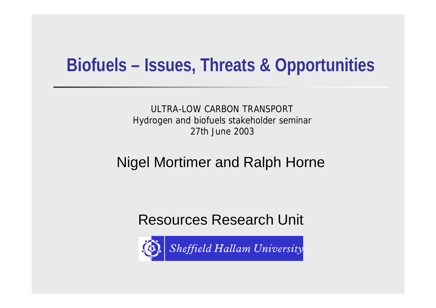#### **Biofuels – Issues, Threats & Opportunities**

ULTRA-LOW CARBON TRANSPORT Hydrogen and biofuels stakeholder seminar 27th June 2003

#### Nigel Mortimer and Ralph Horne

Resources Research Unit

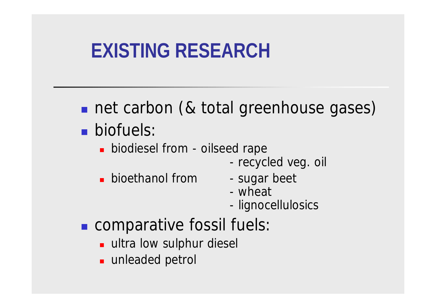# **EXISTING RESEARCH**

- net carbon (& total greenhouse gases) **n** biofuels:
	- **n** biodiesel from oilseed rape
		- recycled veg. oil
	- **Dioethanol from** sugar beet
		-
		- wheat
		- lignocellulosics
- **n** comparative fossil fuels:
	- **ultra low sulphur diesel**
	- unleaded petrol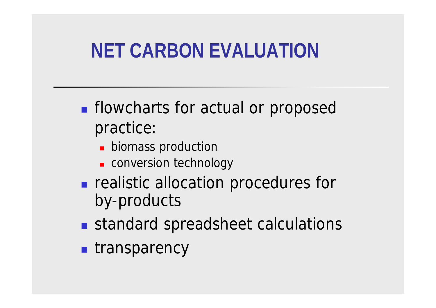# **NET CARBON EVALUATION**

- **n** flowcharts for actual or proposed practice:
	- **Diomass production**
	- **Exercise conversion technology**
- **n** realistic allocation procedures for by-products
- standard spreadsheet calculations
- **n** transparency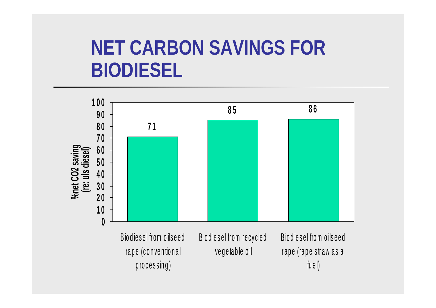### **NET CARBON SAVINGS FOR BIODIESEL**

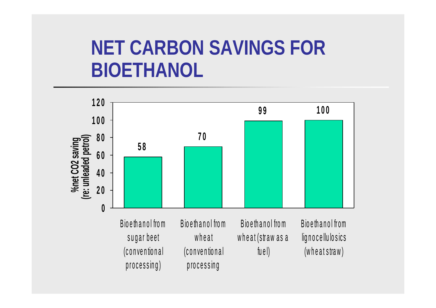### **NET CARBON SAVINGS FOR BIOETHANOL**